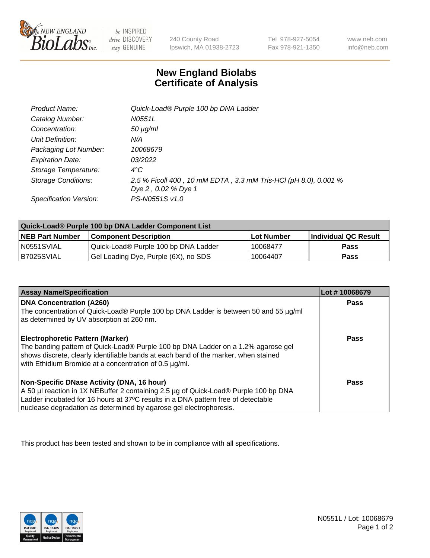

be INSPIRED drive DISCOVERY stay GENUINE

240 County Road Ipswich, MA 01938-2723 Tel 978-927-5054 Fax 978-921-1350

www.neb.com info@neb.com

## **New England Biolabs Certificate of Analysis**

| Product Name:              | Quick-Load® Purple 100 bp DNA Ladder                                                   |
|----------------------------|----------------------------------------------------------------------------------------|
| Catalog Number:            | N0551L                                                                                 |
| Concentration:             | $50 \mu g/ml$                                                                          |
| Unit Definition:           | N/A                                                                                    |
| Packaging Lot Number:      | 10068679                                                                               |
| <b>Expiration Date:</b>    | 03/2022                                                                                |
| Storage Temperature:       | $4^{\circ}$ C                                                                          |
| <b>Storage Conditions:</b> | 2.5 % Ficoll 400, 10 mM EDTA, 3.3 mM Tris-HCl (pH 8.0), 0.001 %<br>Dye 2, 0.02 % Dye 1 |
| Specification Version:     | PS-N0551S v1.0                                                                         |

| Quick-Load® Purple 100 bp DNA Ladder Component List |                                      |                   |                             |  |
|-----------------------------------------------------|--------------------------------------|-------------------|-----------------------------|--|
| <b>NEB Part Number</b>                              | <b>Component Description</b>         | <b>Lot Number</b> | <b>Individual QC Result</b> |  |
| N0551SVIAL                                          | Quick-Load® Purple 100 bp DNA Ladder | 10068477          | <b>Pass</b>                 |  |
| I B7025SVIAL                                        | Gel Loading Dye, Purple (6X), no SDS | 10064407          | <b>Pass</b>                 |  |

| <b>Assay Name/Specification</b>                                                                                                                                                                                                    | Lot #10068679 |
|------------------------------------------------------------------------------------------------------------------------------------------------------------------------------------------------------------------------------------|---------------|
| <b>DNA Concentration (A260)</b>                                                                                                                                                                                                    | <b>Pass</b>   |
| The concentration of Quick-Load® Purple 100 bp DNA Ladder is between 50 and 55 µg/ml<br>as determined by UV absorption at 260 nm.                                                                                                  |               |
| Electrophoretic Pattern (Marker)                                                                                                                                                                                                   | Pass          |
| The banding pattern of Quick-Load® Purple 100 bp DNA Ladder on a 1.2% agarose gel<br>shows discrete, clearly identifiable bands at each band of the marker, when stained<br>with Ethidium Bromide at a concentration of 0.5 µg/ml. |               |
| Non-Specific DNase Activity (DNA, 16 hour)                                                                                                                                                                                         | Pass          |
| A 50 µl reaction in 1X NEBuffer 2 containing 2.5 µg of Quick-Load® Purple 100 bp DNA                                                                                                                                               |               |
| Ladder incubated for 16 hours at 37°C results in a DNA pattern free of detectable                                                                                                                                                  |               |
| nuclease degradation as determined by agarose gel electrophoresis.                                                                                                                                                                 |               |

This product has been tested and shown to be in compliance with all specifications.